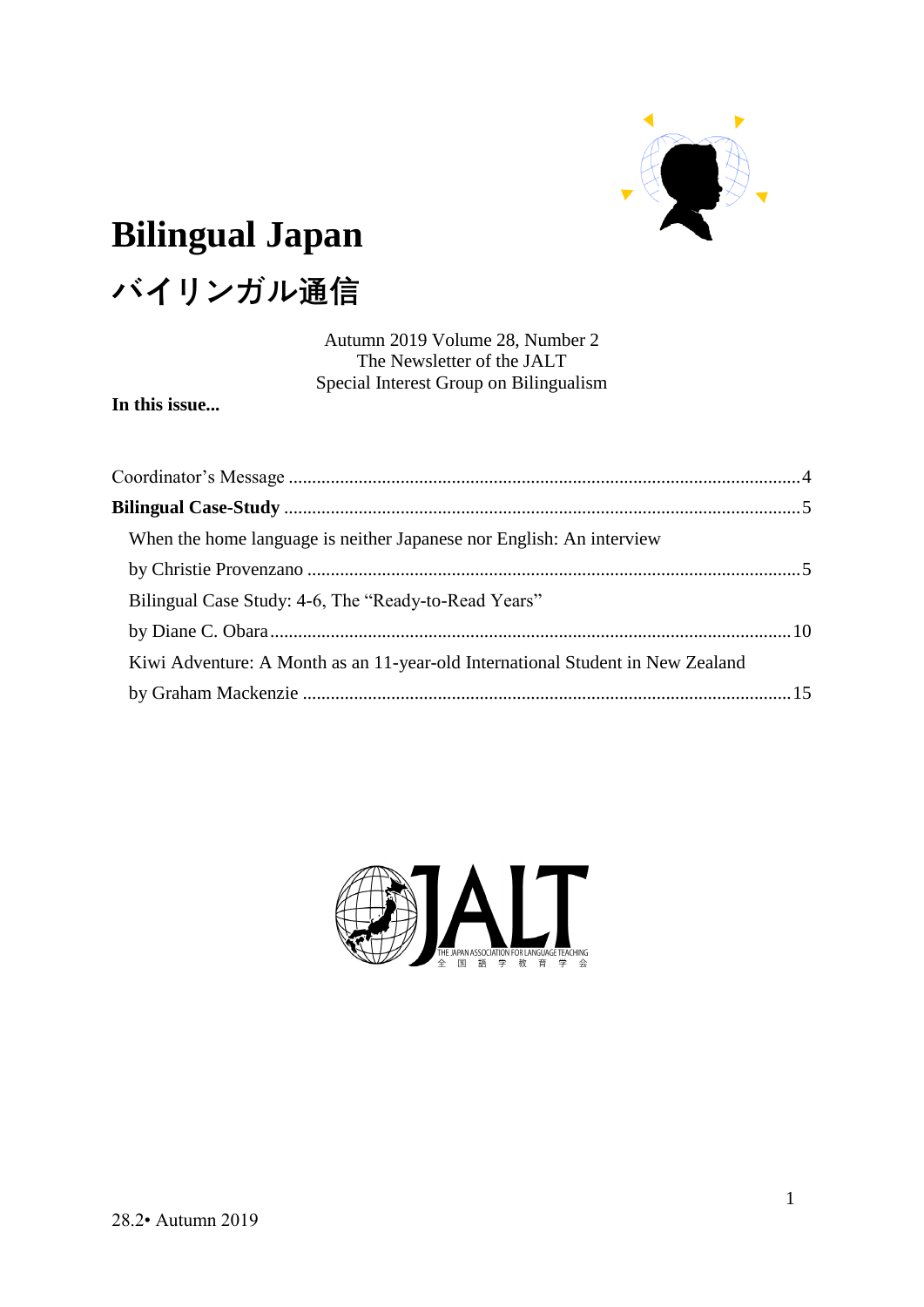

# **Bilingual Japan**

# **バイリンガル通信**

Autumn 2019 Volume 28, Number 2 The Newsletter of the JALT Special Interest Group on Bilingualism

**In this issue...**

| When the home language is neither Japanese nor English: An interview           |  |
|--------------------------------------------------------------------------------|--|
|                                                                                |  |
| Bilingual Case Study: 4-6, The "Ready-to-Read Years"                           |  |
|                                                                                |  |
| Kiwi Adventure: A Month as an 11-year-old International Student in New Zealand |  |
|                                                                                |  |

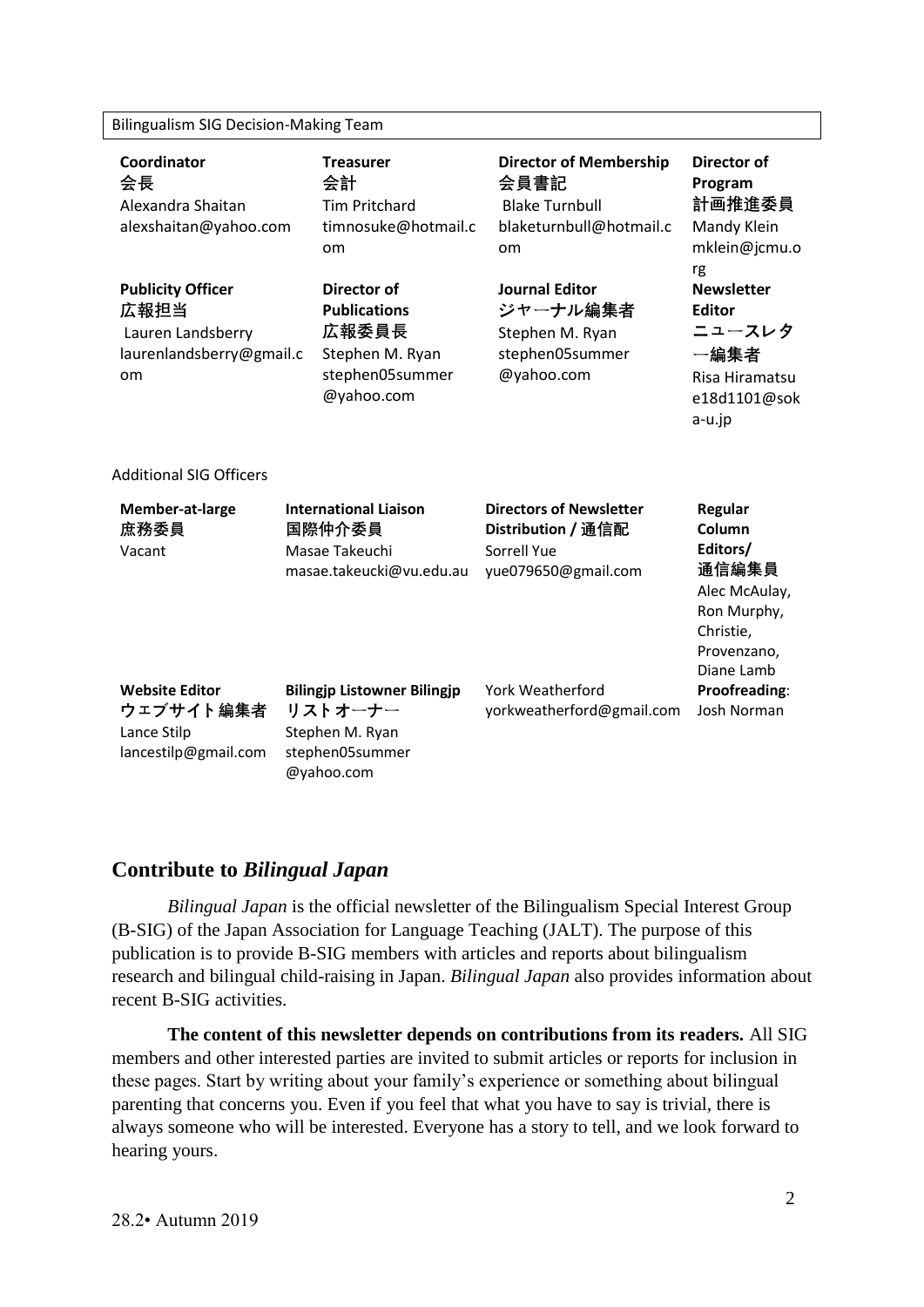#### Bilingualism SIG Decision-Making Team

| Coordinator<br>会長<br>Alexandra Shaitan<br>alexshaitan@yahoo.com<br><b>Publicity Officer</b><br>広報担当<br>Lauren Landsberry<br>laurenlandsberry@gmail.c<br>om | <b>Treasurer</b><br>会計<br><b>Tim Pritchard</b><br>timnosuke@hotmail.c<br>om<br><b>Director of</b><br><b>Publications</b><br>広報委員長<br>Stephen M. Ryan<br>stephen05summer<br>@yahoo.com | <b>Director of Membership</b><br>会員書記<br><b>Blake Turnbull</b><br>blaketurnbull@hotmail.c<br>om<br><b>Journal Editor</b><br>ジャーナル編集者<br>Stephen M. Ryan<br>stephen05summer<br>@yahoo.com | Director of<br>Program<br>計画推進委員<br>Mandy Klein<br>mklein@jcmu.o<br>rg<br><b>Newsletter</b><br><b>Editor</b><br>ニュースレタ<br>一編集者<br>Risa Hiramatsu<br>e18d1101@sok<br>a-u.jp |
|------------------------------------------------------------------------------------------------------------------------------------------------------------|---------------------------------------------------------------------------------------------------------------------------------------------------------------------------------------|------------------------------------------------------------------------------------------------------------------------------------------------------------------------------------------|----------------------------------------------------------------------------------------------------------------------------------------------------------------------------|
| <b>Additional SIG Officers</b>                                                                                                                             |                                                                                                                                                                                       |                                                                                                                                                                                          |                                                                                                                                                                            |
| Member-at-large<br>庶務委員<br>Vacant                                                                                                                          | <b>International Liaison</b><br>国際仲介委員<br>Masae Takeuchi<br>masae.takeucki@vu.edu.au                                                                                                  | <b>Directors of Newsletter</b><br>Distribution / 通信配<br>Sorrell Yue<br>yue079650@gmail.com                                                                                               | Regular<br>Column<br>Editors/<br>通信編集員<br>Alec McAulay,<br>Ron Murphy,<br>Christie,<br>Provenzano,<br>Diane Lamb                                                           |
| <b>Website Editor</b><br>ウェブサイト編集者<br>Lance Stilp<br>lancestilp@gmail.com                                                                                  | <b>Bilingjp Listowner Bilingjp</b><br>リストオーナー<br>Stephen M. Ryan<br>stephen05summer                                                                                                   | York Weatherford<br>yorkweatherford@gmail.com                                                                                                                                            | Proofreading:<br>Josh Norman                                                                                                                                               |

#### **Contribute to** *Bilingual Japan*

@yahoo.com

*Bilingual Japan* is the official newsletter of the Bilingualism Special Interest Group (B-SIG) of the Japan Association for Language Teaching (JALT). The purpose of this publication is to provide B-SIG members with articles and reports about bilingualism research and bilingual child-raising in Japan. *Bilingual Japan* also provides information about recent B-SIG activities.

**The content of this newsletter depends on contributions from its readers.** All SIG members and other interested parties are invited to submit articles or reports for inclusion in these pages. Start by writing about your family's experience or something about bilingual parenting that concerns you. Even if you feel that what you have to say is trivial, there is always someone who will be interested. Everyone has a story to tell, and we look forward to hearing yours.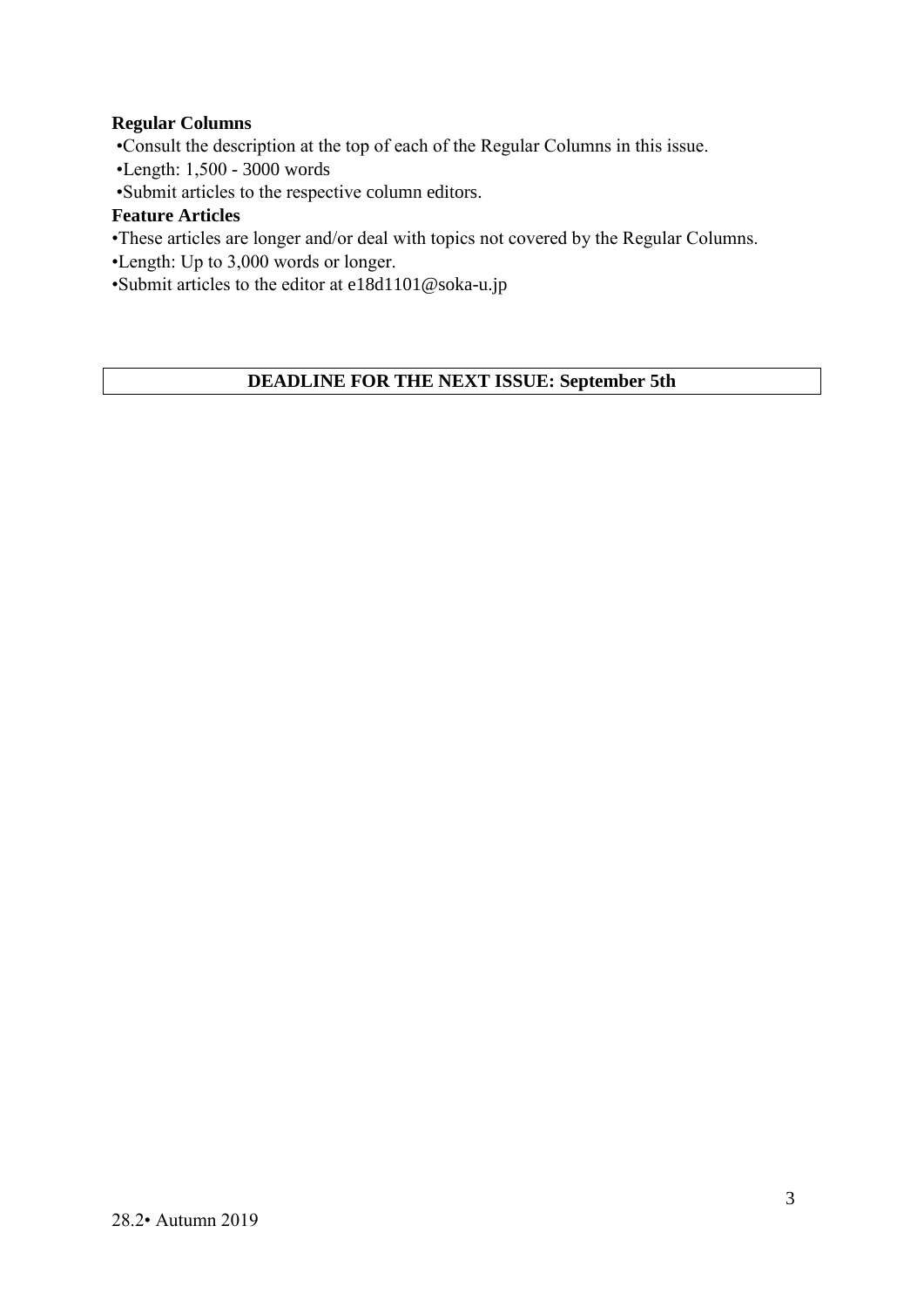#### **Regular Columns**

•Consult the description at the top of each of the Regular Columns in this issue.

•Length: 1,500 - 3000 words

•Submit articles to the respective column editors.

#### **Feature Articles**

- •These articles are longer and/or deal with topics not covered by the Regular Columns.
- •Length: Up to 3,000 words or longer.

•Submit articles to the editor at e18d1101@soka-u.jp

#### **DEADLINE FOR THE NEXT ISSUE: September 5th**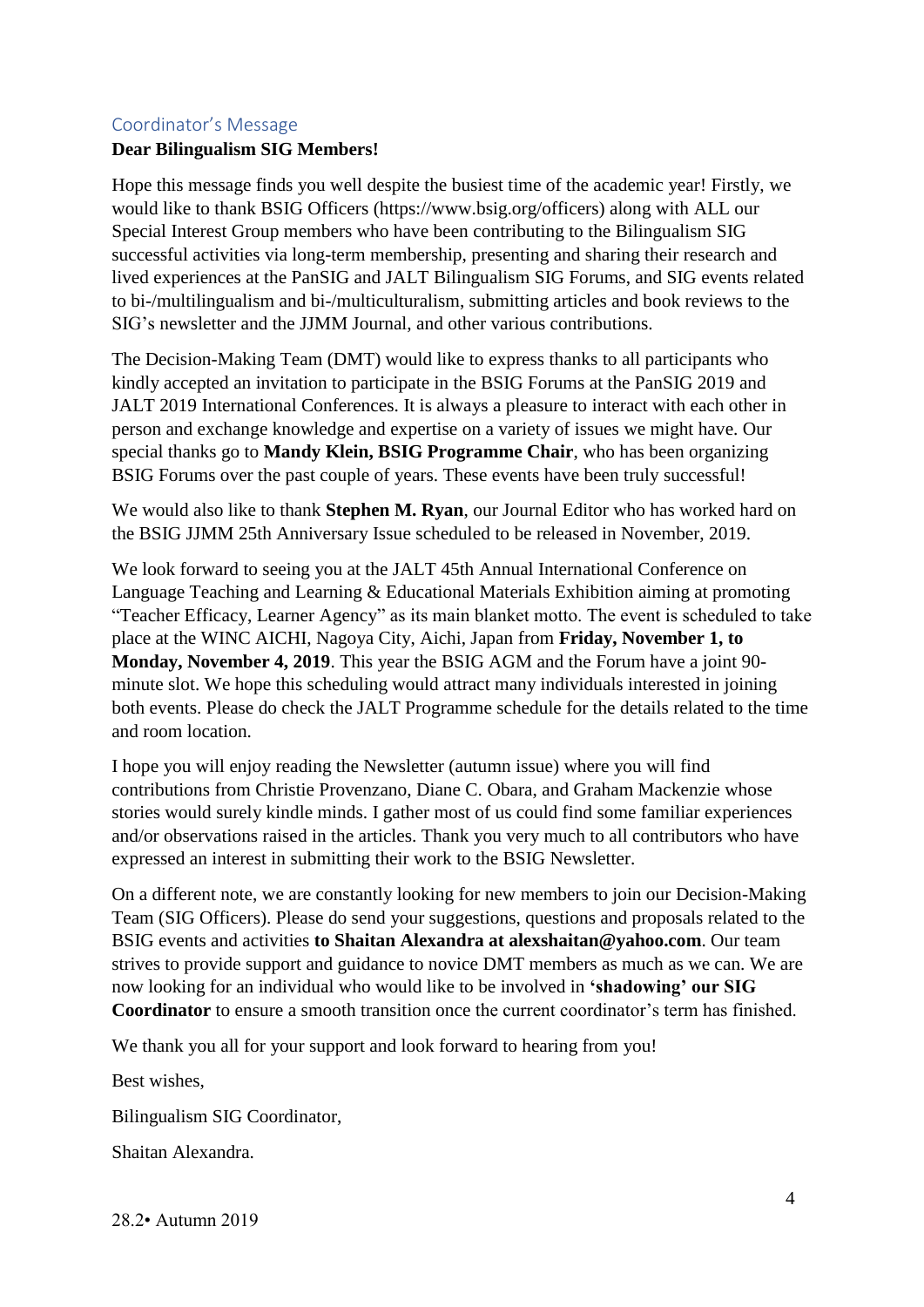#### <span id="page-3-0"></span>Coordinator's Message

#### **Dear Bilingualism SIG Members!**

Hope this message finds you well despite the busiest time of the academic year! Firstly, we would like to thank BSIG Officers (https://www.bsig.org/officers) along with ALL our Special Interest Group members who have been contributing to the Bilingualism SIG successful activities via long-term membership, presenting and sharing their research and lived experiences at the PanSIG and JALT Bilingualism SIG Forums, and SIG events related to bi-/multilingualism and bi-/multiculturalism, submitting articles and book reviews to the SIG's newsletter and the JJMM Journal, and other various contributions.

The Decision-Making Team (DMT) would like to express thanks to all participants who kindly accepted an invitation to participate in the BSIG Forums at the PanSIG 2019 and JALT 2019 International Conferences. It is always a pleasure to interact with each other in person and exchange knowledge and expertise on a variety of issues we might have. Our special thanks go to **Mandy Klein, BSIG Programme Chair**, who has been organizing BSIG Forums over the past couple of years. These events have been truly successful!

We would also like to thank **Stephen M. Ryan**, our Journal Editor who has worked hard on the BSIG JJMM 25th Anniversary Issue scheduled to be released in November, 2019.

We look forward to seeing you at the JALT 45th Annual International Conference on Language Teaching and Learning & Educational Materials Exhibition aiming at promoting "Teacher Efficacy, Learner Agency" as its main blanket motto. The event is scheduled to take place at the WINC AICHI, Nagoya City, Aichi, Japan from **Friday, November 1, to Monday, November 4, 2019**. This year the BSIG AGM and the Forum have a joint 90 minute slot. We hope this scheduling would attract many individuals interested in joining both events. Please do check the JALT Programme schedule for the details related to the time and room location.

I hope you will enjoy reading the Newsletter (autumn issue) where you will find contributions from Christie Provenzano, Diane C. Obara, and Graham Mackenzie whose stories would surely kindle minds. I gather most of us could find some familiar experiences and/or observations raised in the articles. Thank you very much to all contributors who have expressed an interest in submitting their work to the BSIG Newsletter.

On a different note, we are constantly looking for new members to join our Decision-Making Team (SIG Officers). Please do send your suggestions, questions and proposals related to the BSIG events and activities **to Shaitan Alexandra at alexshaitan@yahoo.com**. Our team strives to provide support and guidance to novice DMT members as much as we can. We are now looking for an individual who would like to be involved in **'shadowing' our SIG Coordinator** to ensure a smooth transition once the current coordinator's term has finished.

We thank you all for your support and look forward to hearing from you!

Best wishes,

Bilingualism SIG Coordinator,

Shaitan Alexandra.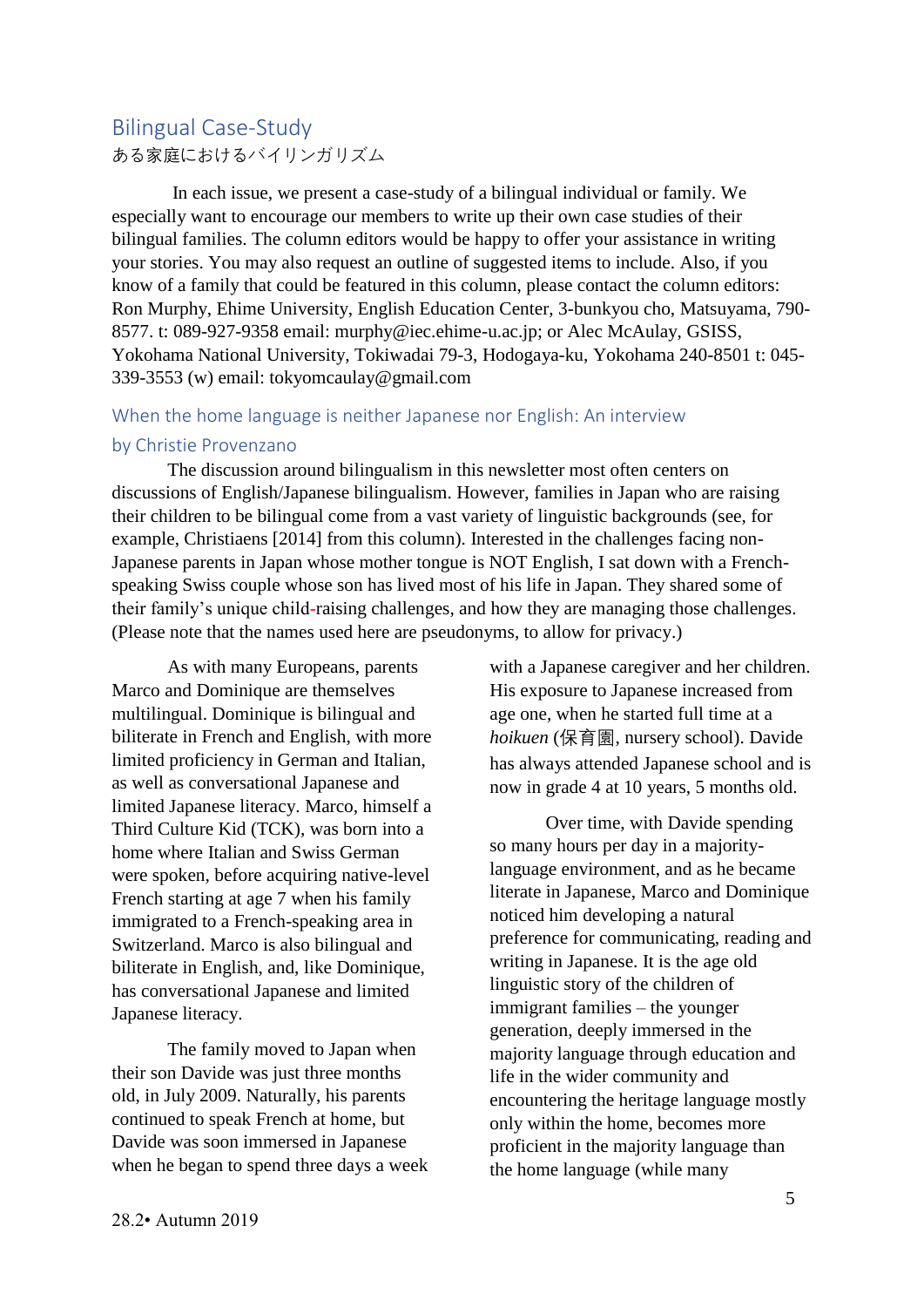## <span id="page-4-0"></span>Bilingual Case-Study

ある家庭におけるバイリンガリズム

In each issue, we present a case-study of a bilingual individual or family. We especially want to encourage our members to write up their own case studies of their bilingual families. The column editors would be happy to offer your assistance in writing your stories. You may also request an outline of suggested items to include. Also, if you know of a family that could be featured in this column, please contact the column editors: Ron Murphy, Ehime University, English Education Center, 3-bunkyou cho, Matsuyama, 790- 8577. t: 089-927-9358 email: murphy@iec.ehime-u.ac.jp; or Alec McAulay, GSISS, Yokohama National University, Tokiwadai 79-3, Hodogaya-ku, Yokohama 240-8501 t: 045- 339-3553 (w) email: [tokyomcaulay@gmail.com](mailto:tokyomcaulay@gmail.com)

#### <span id="page-4-1"></span>When the home language is neither Japanese nor English: An interview

#### <span id="page-4-2"></span>by Christie Provenzano

The discussion around bilingualism in this newsletter most often centers on discussions of English/Japanese bilingualism. However, families in Japan who are raising their children to be bilingual come from a vast variety of linguistic backgrounds (see, for example, Christiaens [2014] from this column). Interested in the challenges facing non-Japanese parents in Japan whose mother tongue is NOT English, I sat down with a Frenchspeaking Swiss couple whose son has lived most of his life in Japan. They shared some of their family's unique child-raising challenges, and how they are managing those challenges. (Please note that the names used here are pseudonyms, to allow for privacy.)

As with many Europeans, parents Marco and Dominique are themselves multilingual. Dominique is bilingual and biliterate in French and English, with more limited proficiency in German and Italian, as well as conversational Japanese and limited Japanese literacy. Marco, himself a Third Culture Kid (TCK), was born into a home where Italian and Swiss German were spoken, before acquiring native-level French starting at age 7 when his family immigrated to a French-speaking area in Switzerland. Marco is also bilingual and biliterate in English, and, like Dominique, has conversational Japanese and limited Japanese literacy.

The family moved to Japan when their son Davide was just three months old, in July 2009. Naturally, his parents continued to speak French at home, but Davide was soon immersed in Japanese when he began to spend three days a week with a Japanese caregiver and her children. His exposure to Japanese increased from age one, when he started full time at a *hoikuen* (保育園, nursery school). Davide has always attended Japanese school and is now in grade 4 at 10 years, 5 months old.

Over time, with Davide spending so many hours per day in a majoritylanguage environment, and as he became literate in Japanese, Marco and Dominique noticed him developing a natural preference for communicating, reading and writing in Japanese. It is the age old linguistic story of the children of immigrant families – the younger generation, deeply immersed in the majority language through education and life in the wider community and encountering the heritage language mostly only within the home, becomes more proficient in the majority language than the home language (while many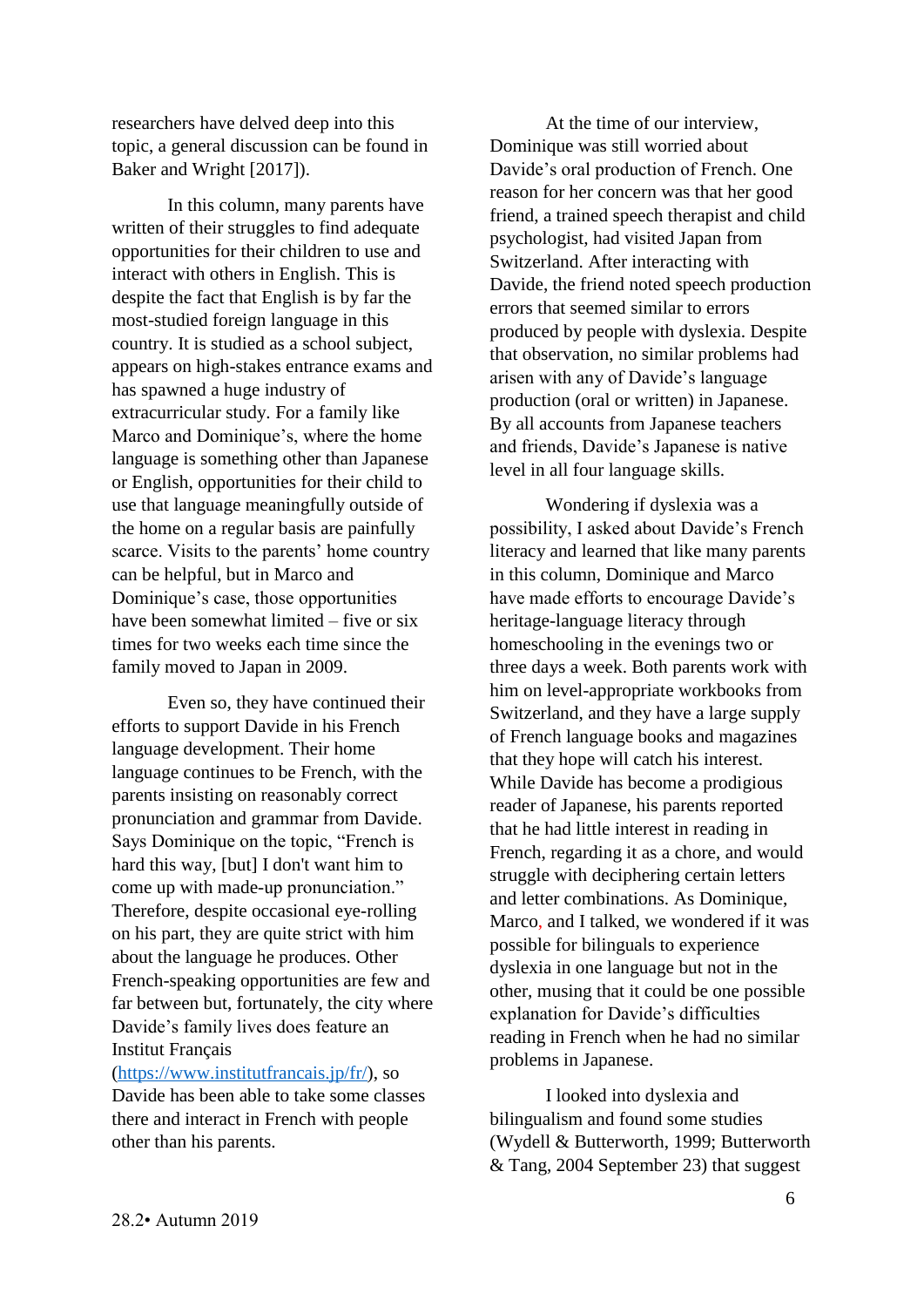researchers have delved deep into this topic, a general discussion can be found in Baker and Wright [2017]).

In this column, many parents have written of their struggles to find adequate opportunities for their children to use and interact with others in English. This is despite the fact that English is by far the most-studied foreign language in this country. It is studied as a school subject, appears on high-stakes entrance exams and has spawned a huge industry of extracurricular study. For a family like Marco and Dominique's, where the home language is something other than Japanese or English, opportunities for their child to use that language meaningfully outside of the home on a regular basis are painfully scarce. Visits to the parents' home country can be helpful, but in Marco and Dominique's case, those opportunities have been somewhat limited – five or six times for two weeks each time since the family moved to Japan in 2009.

Even so, they have continued their efforts to support Davide in his French language development. Their home language continues to be French, with the parents insisting on reasonably correct pronunciation and grammar from Davide. Says Dominique on the topic, "French is hard this way, [but] I don't want him to come up with made-up pronunciation." Therefore, despite occasional eye-rolling on his part, they are quite strict with him about the language he produces. Other French-speaking opportunities are few and far between but, fortunately, the city where Davide's family lives does feature an Institut Français

[\(https://www.institutfrancais.jp/fr/\)](https://www.institutfrancais.jp/fr/), so Davide has been able to take some classes there and interact in French with people other than his parents.

At the time of our interview, Dominique was still worried about Davide's oral production of French. One reason for her concern was that her good friend, a trained speech therapist and child psychologist, had visited Japan from Switzerland. After interacting with Davide, the friend noted speech production errors that seemed similar to errors produced by people with dyslexia. Despite that observation, no similar problems had arisen with any of Davide's language production (oral or written) in Japanese. By all accounts from Japanese teachers and friends, Davide's Japanese is native level in all four language skills.

Wondering if dyslexia was a possibility, I asked about Davide's French literacy and learned that like many parents in this column, Dominique and Marco have made efforts to encourage Davide's heritage-language literacy through homeschooling in the evenings two or three days a week. Both parents work with him on level-appropriate workbooks from Switzerland, and they have a large supply of French language books and magazines that they hope will catch his interest. While Davide has become a prodigious reader of Japanese, his parents reported that he had little interest in reading in French, regarding it as a chore, and would struggle with deciphering certain letters and letter combinations. As Dominique, Marco, and I talked, we wondered if it was possible for bilinguals to experience dyslexia in one language but not in the other, musing that it could be one possible explanation for Davide's difficulties reading in French when he had no similar problems in Japanese.

I looked into dyslexia and bilingualism and found some studies (Wydell & Butterworth, 1999; Butterworth & Tang, 2004 September 23) that suggest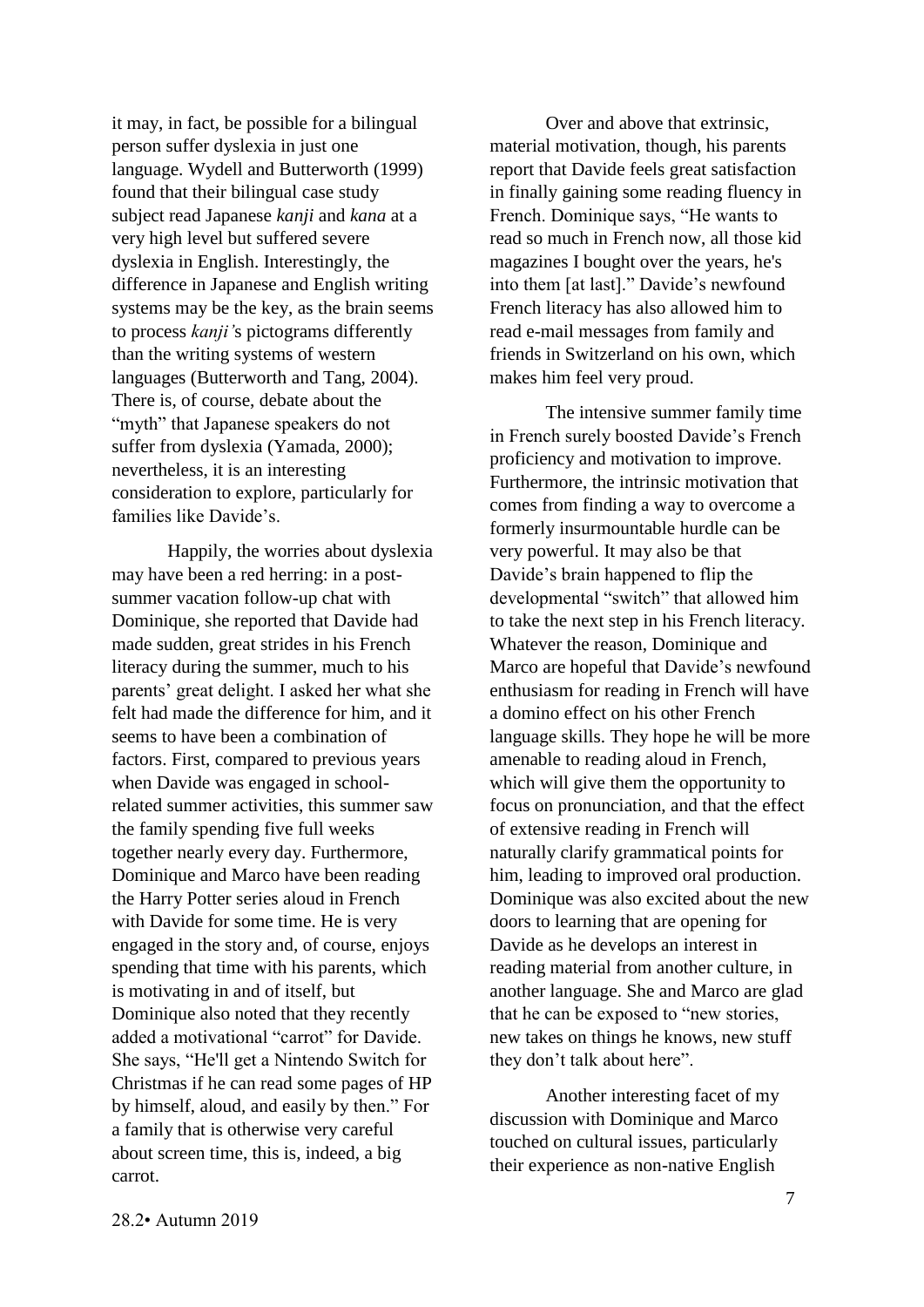it may, in fact, be possible for a bilingual person suffer dyslexia in just one language. Wydell and Butterworth (1999) found that their bilingual case study subject read Japanese *kanji* and *kana* at a very high level but suffered severe dyslexia in English. Interestingly, the difference in Japanese and English writing systems may be the key, as the brain seems to process *kanji'*s pictograms differently than the writing systems of western languages (Butterworth and Tang, 2004). There is, of course, debate about the "myth" that Japanese speakers do not suffer from dyslexia (Yamada, 2000); nevertheless, it is an interesting consideration to explore, particularly for families like Davide's.

Happily, the worries about dyslexia may have been a red herring: in a postsummer vacation follow-up chat with Dominique, she reported that Davide had made sudden, great strides in his French literacy during the summer, much to his parents' great delight. I asked her what she felt had made the difference for him, and it seems to have been a combination of factors. First, compared to previous years when Davide was engaged in schoolrelated summer activities, this summer saw the family spending five full weeks together nearly every day. Furthermore, Dominique and Marco have been reading the Harry Potter series aloud in French with Davide for some time. He is very engaged in the story and, of course, enjoys spending that time with his parents, which is motivating in and of itself, but Dominique also noted that they recently added a motivational "carrot" for Davide. She says, "He'll get a Nintendo Switch for Christmas if he can read some pages of HP by himself, aloud, and easily by then." For a family that is otherwise very careful about screen time, this is, indeed, a big carrot.

Over and above that extrinsic, material motivation, though, his parents report that Davide feels great satisfaction in finally gaining some reading fluency in French. Dominique says, "He wants to read so much in French now, all those kid magazines I bought over the years, he's into them [at last]." Davide's newfound French literacy has also allowed him to read e-mail messages from family and friends in Switzerland on his own, which makes him feel very proud.

The intensive summer family time in French surely boosted Davide's French proficiency and motivation to improve. Furthermore, the intrinsic motivation that comes from finding a way to overcome a formerly insurmountable hurdle can be very powerful. It may also be that Davide's brain happened to flip the developmental "switch" that allowed him to take the next step in his French literacy. Whatever the reason, Dominique and Marco are hopeful that Davide's newfound enthusiasm for reading in French will have a domino effect on his other French language skills. They hope he will be more amenable to reading aloud in French, which will give them the opportunity to focus on pronunciation, and that the effect of extensive reading in French will naturally clarify grammatical points for him, leading to improved oral production. Dominique was also excited about the new doors to learning that are opening for Davide as he develops an interest in reading material from another culture, in another language. She and Marco are glad that he can be exposed to "new stories, new takes on things he knows, new stuff they don't talk about here".

Another interesting facet of my discussion with Dominique and Marco touched on cultural issues, particularly their experience as non-native English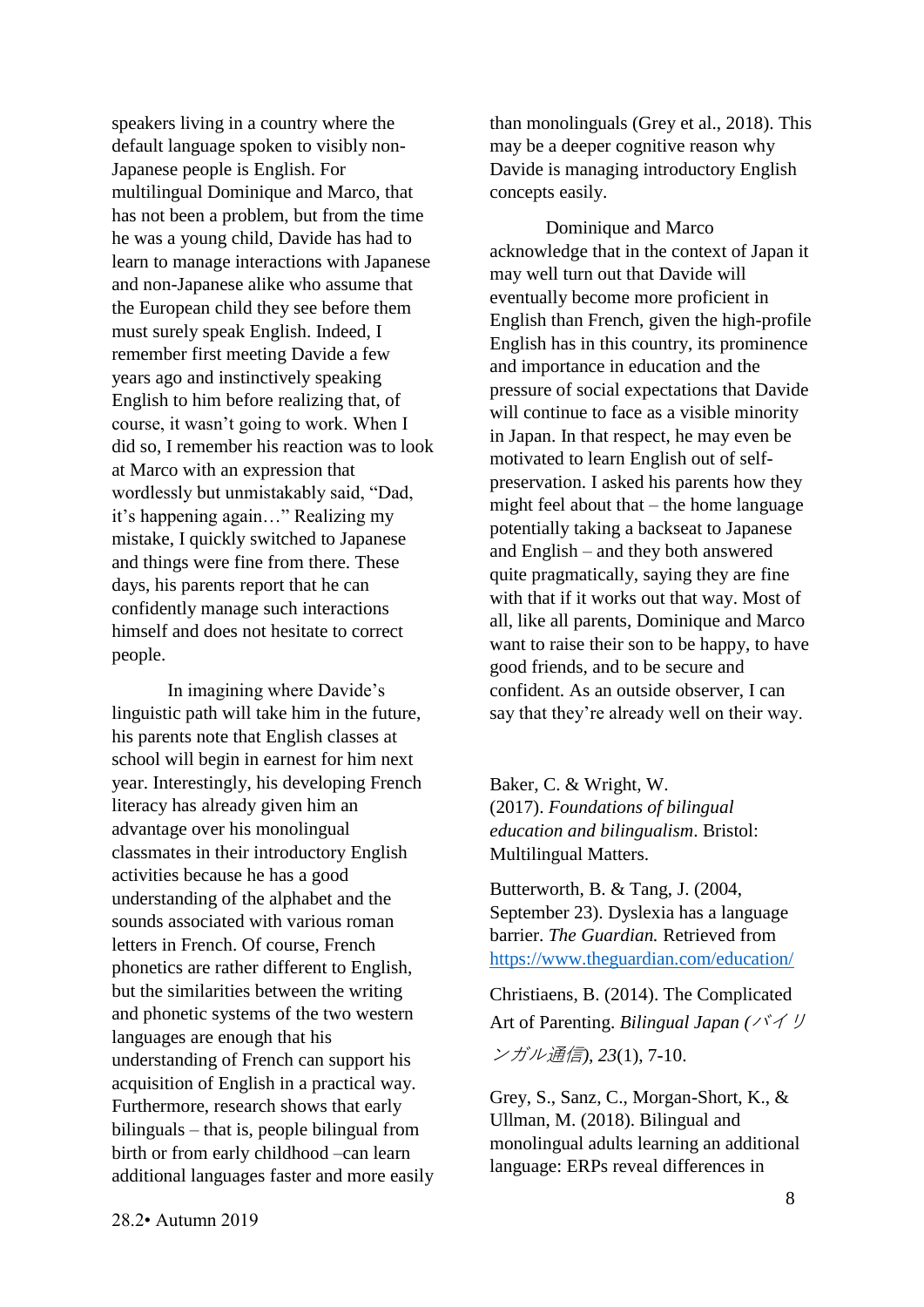speakers living in a country where the default language spoken to visibly non-Japanese people is English. For multilingual Dominique and Marco, that has not been a problem, but from the time he was a young child, Davide has had to learn to manage interactions with Japanese and non-Japanese alike who assume that the European child they see before them must surely speak English. Indeed, I remember first meeting Davide a few years ago and instinctively speaking English to him before realizing that, of course, it wasn't going to work. When I did so, I remember his reaction was to look at Marco with an expression that wordlessly but unmistakably said, "Dad, it's happening again…" Realizing my mistake, I quickly switched to Japanese and things were fine from there. These days, his parents report that he can confidently manage such interactions himself and does not hesitate to correct people.

In imagining where Davide's linguistic path will take him in the future, his parents note that English classes at school will begin in earnest for him next year. Interestingly, his developing French literacy has already given him an advantage over his monolingual classmates in their introductory English activities because he has a good understanding of the alphabet and the sounds associated with various roman letters in French. Of course, French phonetics are rather different to English, but the similarities between the writing and phonetic systems of the two western languages are enough that his understanding of French can support his acquisition of English in a practical way. Furthermore, research shows that early bilinguals – that is, people bilingual from birth or from early childhood –can learn additional languages faster and more easily than monolinguals (Grey et al., 2018). This may be a deeper cognitive reason why Davide is managing introductory English concepts easily.

Dominique and Marco acknowledge that in the context of Japan it may well turn out that Davide will eventually become more proficient in English than French, given the high-profile English has in this country, its prominence and importance in education and the pressure of social expectations that Davide will continue to face as a visible minority in Japan. In that respect, he may even be motivated to learn English out of selfpreservation. I asked his parents how they might feel about that – the home language potentially taking a backseat to Japanese and English – and they both answered quite pragmatically, saying they are fine with that if it works out that way. Most of all, like all parents, Dominique and Marco want to raise their son to be happy, to have good friends, and to be secure and confident. As an outside observer, I can say that they're already well on their way.

Baker, C. & Wright, W. (2017). *Foundations of bilingual education and bilingualism*. Bristol: Multilingual Matters.

Butterworth, B. & Tang, J. (2004, September 23). Dyslexia has a language barrier. *The Guardian.* Retrieved from <https://www.theguardian.com/education/>

Christiaens, B. (2014). The Complicated Art of Parenting. *Bilingual Japan (*バイリ ンガル通信*), 23*(1), 7-10.

Grey, S., Sanz, C., Morgan-Short, K., & Ullman, M. (2018). Bilingual and monolingual adults learning an additional language: ERPs reveal differences in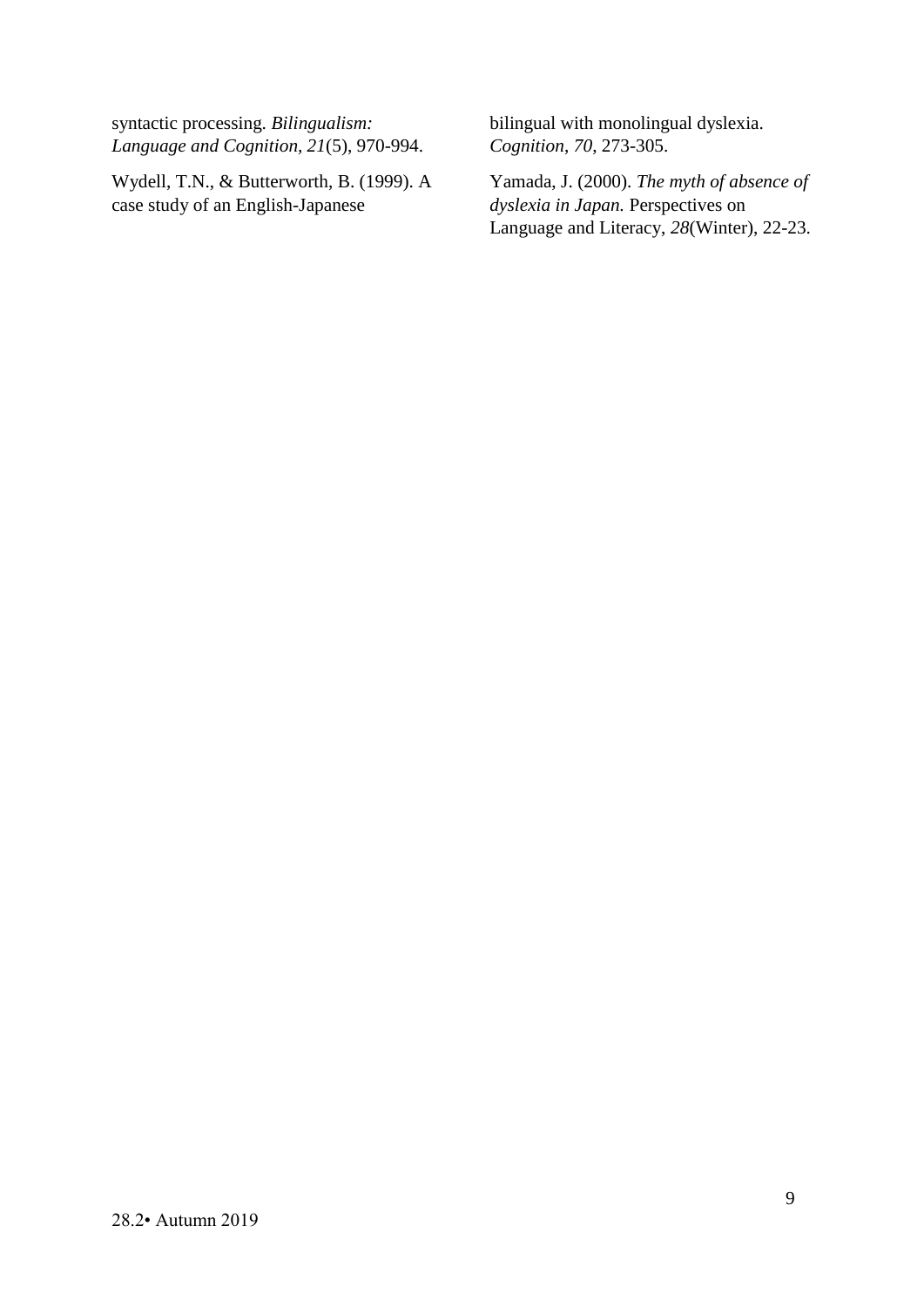syntactic processing. *Bilingualism: Language and Cognition, 21*(5), 970-994.

Wydell, T.N., & Butterworth, B. (1999). A case study of an English-Japanese

bilingual with monolingual dyslexia. *Cognition*, *70*, 273-305.

Yamada, J. (2000). *The myth of absence of dyslexia in Japan.* Perspectives on Language and Literacy, *28*(Winter), 22-23.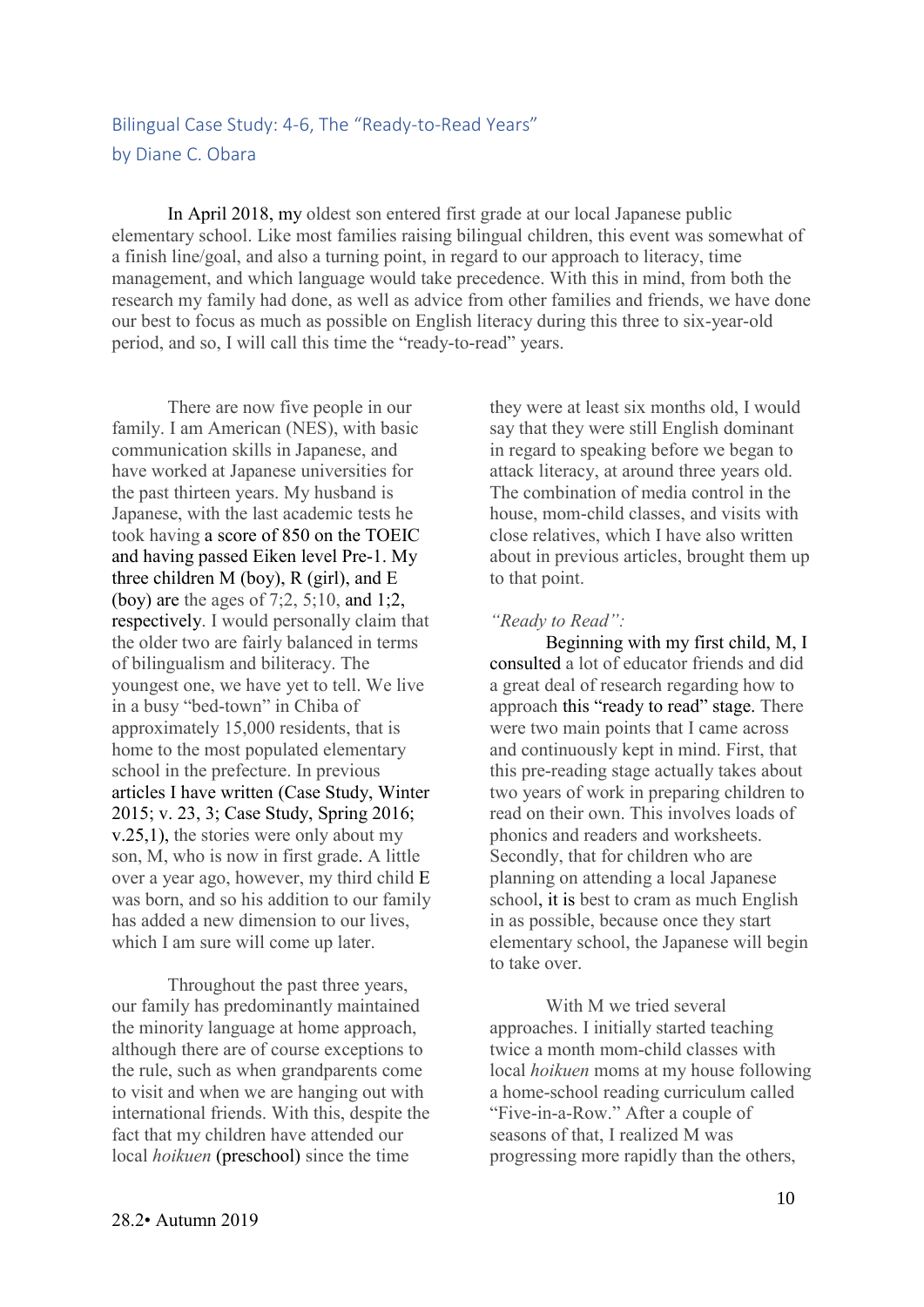## <span id="page-9-1"></span><span id="page-9-0"></span>Bilingual Case Study: 4-6, The "Ready-to-Read Years" by Diane C. Obara

In April 2018, my oldest son entered first grade at our local Japanese public elementary school. Like most families raising bilingual children, this event was somewhat of a finish line/goal, and also a turning point, in regard to our approach to literacy, time management, and which language would take precedence. With this in mind, from both the research my family had done, as well as advice from other families and friends, we have done our best to focus as much as possible on English literacy during this three to six-year-old period, and so, I will call this time the "ready-to-read" years.

There are now five people in our family. I am American (NES), with basic communication skills in Japanese, and have worked at Japanese universities for the past thirteen years. My husband is Japanese, with the last academic tests he took having a score of 850 on the TOEIC and having passed Eiken level Pre-1. My three children M (boy), R (girl), and E (boy) are the ages of 7;2, 5;10, and 1;2, respectively. I would personally claim that the older two are fairly balanced in terms of bilingualism and biliteracy. The youngest one, we have yet to tell. We live in a busy "bed-town" in Chiba of approximately 15,000 residents, that is home to the most populated elementary school in the prefecture. In previous articles I have written (Case Study, Winter 2015; v. 23, 3; Case Study, Spring 2016; v.25,1), the stories were only about my son, M, who is now in first grade. A little over a year ago, however, my third child E was born, and so his addition to our family has added a new dimension to our lives, which I am sure will come up later.

Throughout the past three years, our family has predominantly maintained the minority language at home approach, although there are of course exceptions to the rule, such as when grandparents come to visit and when we are hanging out with international friends. With this, despite the fact that my children have attended our local *hoikuen* (preschool) since the time

they were at least six months old, I would say that they were still English dominant in regard to speaking before we began to attack literacy, at around three years old. The combination of media control in the house, mom-child classes, and visits with close relatives, which I have also written about in previous articles, brought them up to that point.

#### *"Ready to Read":*

Beginning with my first child, M, I consulted a lot of educator friends and did a great deal of research regarding how to approach this "ready to read" stage. There were two main points that I came across and continuously kept in mind. First, that this pre-reading stage actually takes about two years of work in preparing children to read on their own. This involves loads of phonics and readers and worksheets. Secondly, that for children who are planning on attending a local Japanese school, it is best to cram as much English in as possible, because once they start elementary school, the Japanese will begin to take over.

With M we tried several approaches. I initially started teaching twice a month mom-child classes with local *hoikuen* moms at my house following a home-school reading curriculum called "Five-in-a-Row." After a couple of seasons of that, I realized M was progressing more rapidly than the others,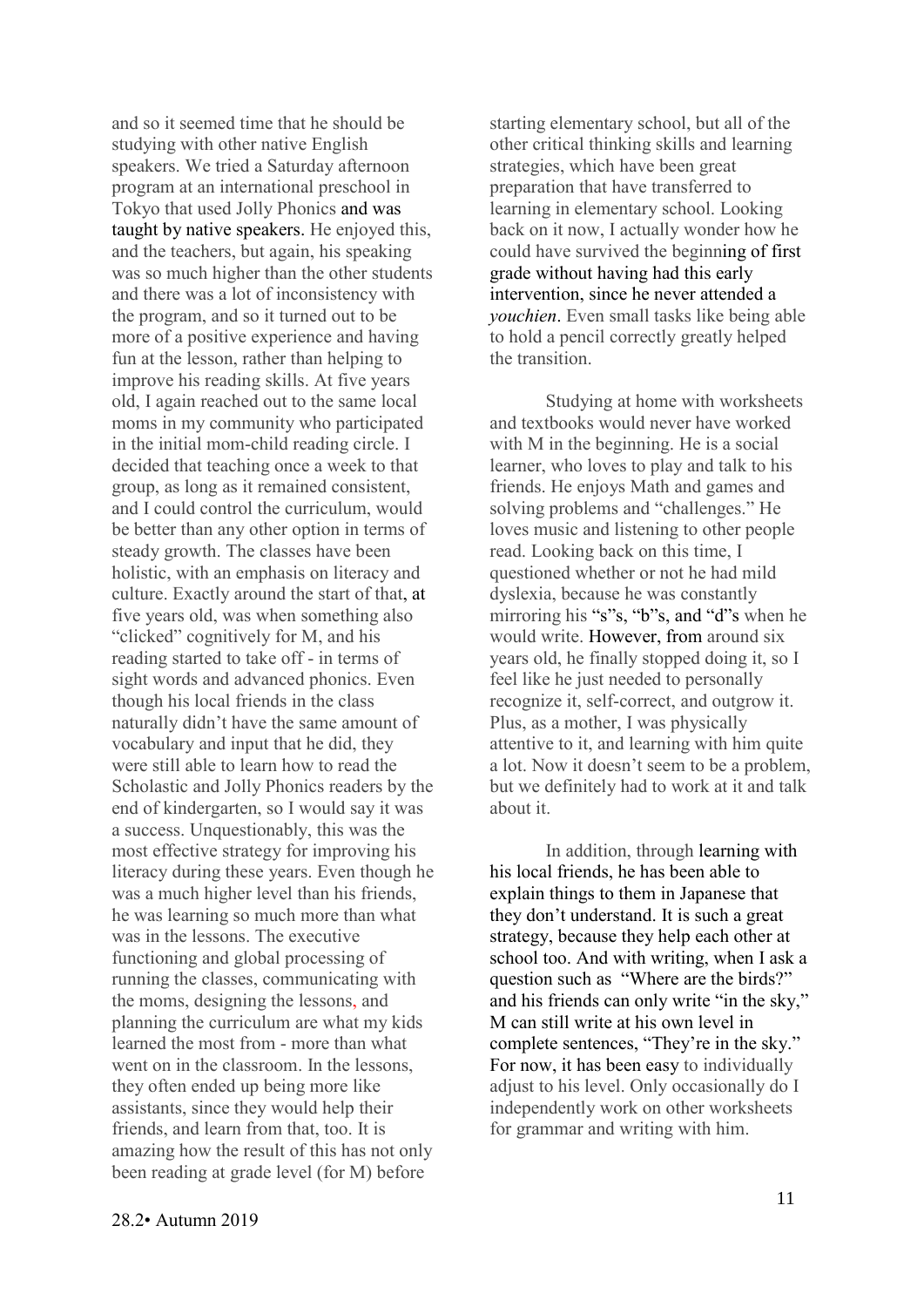and so it seemed time that he should be studying with other native English speakers. We tried a Saturday afternoon program at an international preschool in Tokyo that used Jolly Phonics and was taught by native speakers. He enjoyed this, and the teachers, but again, his speaking was so much higher than the other students and there was a lot of inconsistency with the program, and so it turned out to be more of a positive experience and having fun at the lesson, rather than helping to improve his reading skills. At five years old, I again reached out to the same local moms in my community who participated in the initial mom-child reading circle. I decided that teaching once a week to that group, as long as it remained consistent, and I could control the curriculum, would be better than any other option in terms of steady growth. The classes have been holistic, with an emphasis on literacy and culture. Exactly around the start of that, at five years old, was when something also "clicked" cognitively for M, and his reading started to take off - in terms of sight words and advanced phonics. Even though his local friends in the class naturally didn't have the same amount of vocabulary and input that he did, they were still able to learn how to read the Scholastic and Jolly Phonics readers by the end of kindergarten, so I would say it was a success. Unquestionably, this was the most effective strategy for improving his literacy during these years. Even though he was a much higher level than his friends, he was learning so much more than what was in the lessons. The executive functioning and global processing of running the classes, communicating with the moms, designing the lessons, and planning the curriculum are what my kids learned the most from - more than what went on in the classroom. In the lessons they often ended up being more like assistants, since they would help their friends, and learn from that, too. It is amazing how the result of this has not only been reading at grade level (for M) before

starting elementary school, but all of the other critical thinking skills and learning strategies, which have been great preparation that have transferred to learning in elementary school. Looking back on it now, I actually wonder how he could have survived the beginning of first grade without having had this early intervention, since he never attended a *youchien*. Even small tasks like being able to hold a pencil correctly greatly helped the transition.

Studying at home with worksheets and textbooks would never have worked with M in the beginning. He is a social learner, who loves to play and talk to his friends. He enjoys Math and games and solving problems and "challenges." He loves music and listening to other people read. Looking back on this time, I questioned whether or not he had mild dyslexia, because he was constantly mirroring his "s"s, "b"s, and "d"s when he would write. However, from around six years old, he finally stopped doing it, so I feel like he just needed to personally recognize it, self-correct, and outgrow it. Plus, as a mother, I was physically attentive to it, and learning with him quite a lot. Now it doesn't seem to be a problem, but we definitely had to work at it and talk about it.

In addition, through learning with his local friends, he has been able to explain things to them in Japanese that they don't understand. It is such a great strategy, because they help each other at school too. And with writing, when I ask a question such as "Where are the birds?" and his friends can only write "in the sky," M can still write at his own level in complete sentences, "They're in the sky." For now, it has been easy to individually adjust to his level. Only occasionally do I independently work on other worksheets for grammar and writing with him.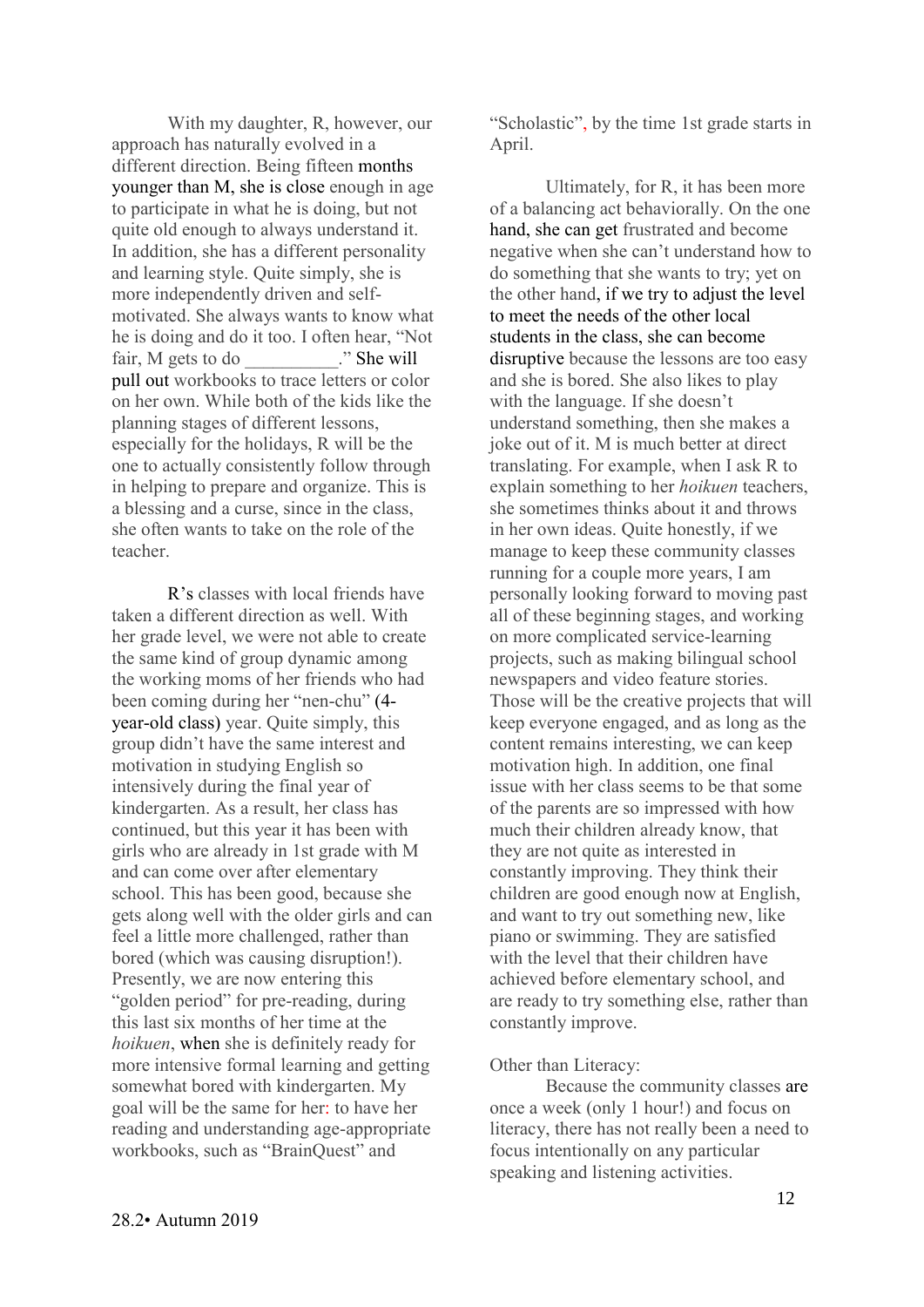With my daughter, R, however, our approach has naturally evolved in a different direction. Being fifteen months younger than M, she is close enough in age to participate in what he is doing, but not quite old enough to always understand it. In addition, she has a different personality and learning style. Quite simply, she is more independently driven and selfmotivated. She always wants to know what he is doing and do it too. I often hear, "Not fair, M gets to do \_\_\_\_\_\_\_\_. " She will pull out workbooks to trace letters or color on her own. While both of the kids like the planning stages of different lessons, especially for the holidays, R will be the one to actually consistently follow through in helping to prepare and organize. This is a blessing and a curse, since in the class, she often wants to take on the role of the teacher.

R's classes with local friends have taken a different direction as well. With her grade level, we were not able to create the same kind of group dynamic among the working moms of her friends who had been coming during her "nen-chu" (4 year-old class) year. Quite simply, this group didn't have the same interest and motivation in studying English so intensively during the final year of kindergarten. As a result, her class has continued, but this year it has been with girls who are already in 1st grade with M and can come over after elementary school. This has been good, because she gets along well with the older girls and can feel a little more challenged, rather than bored (which was causing disruption!). Presently, we are now entering this "golden period" for pre-reading, during this last six months of her time at the *hoikuen*, when she is definitely ready for more intensive formal learning and getting somewhat bored with kindergarten. My goal will be the same for her: to have her reading and understanding age-appropriate workbooks, such as "BrainQuest" and

"Scholastic", by the time 1st grade starts in April.

Ultimately, for R, it has been more of a balancing act behaviorally. On the one hand, she can get frustrated and become negative when she can't understand how to do something that she wants to try; yet on the other hand, if we try to adjust the level to meet the needs of the other local students in the class, she can become disruptive because the lessons are too easy and she is bored. She also likes to play with the language. If she doesn't understand something, then she makes a joke out of it. M is much better at direct translating. For example, when I ask R to explain something to her *hoikuen* teachers, she sometimes thinks about it and throws in her own ideas. Quite honestly, if we manage to keep these community classes running for a couple more years, I am personally looking forward to moving past all of these beginning stages, and working on more complicated service-learning projects, such as making bilingual school newspapers and video feature stories. Those will be the creative projects that will keep everyone engaged, and as long as the content remains interesting, we can keep motivation high. In addition, one final issue with her class seems to be that some of the parents are so impressed with how much their children already know, that they are not quite as interested in constantly improving. They think their children are good enough now at English, and want to try out something new, like piano or swimming. They are satisfied with the level that their children have achieved before elementary school, and are ready to try something else, rather than constantly improve.

#### Other than Literacy:

Because the community classes are once a week (only 1 hour!) and focus on literacy, there has not really been a need to focus intentionally on any particular speaking and listening activities.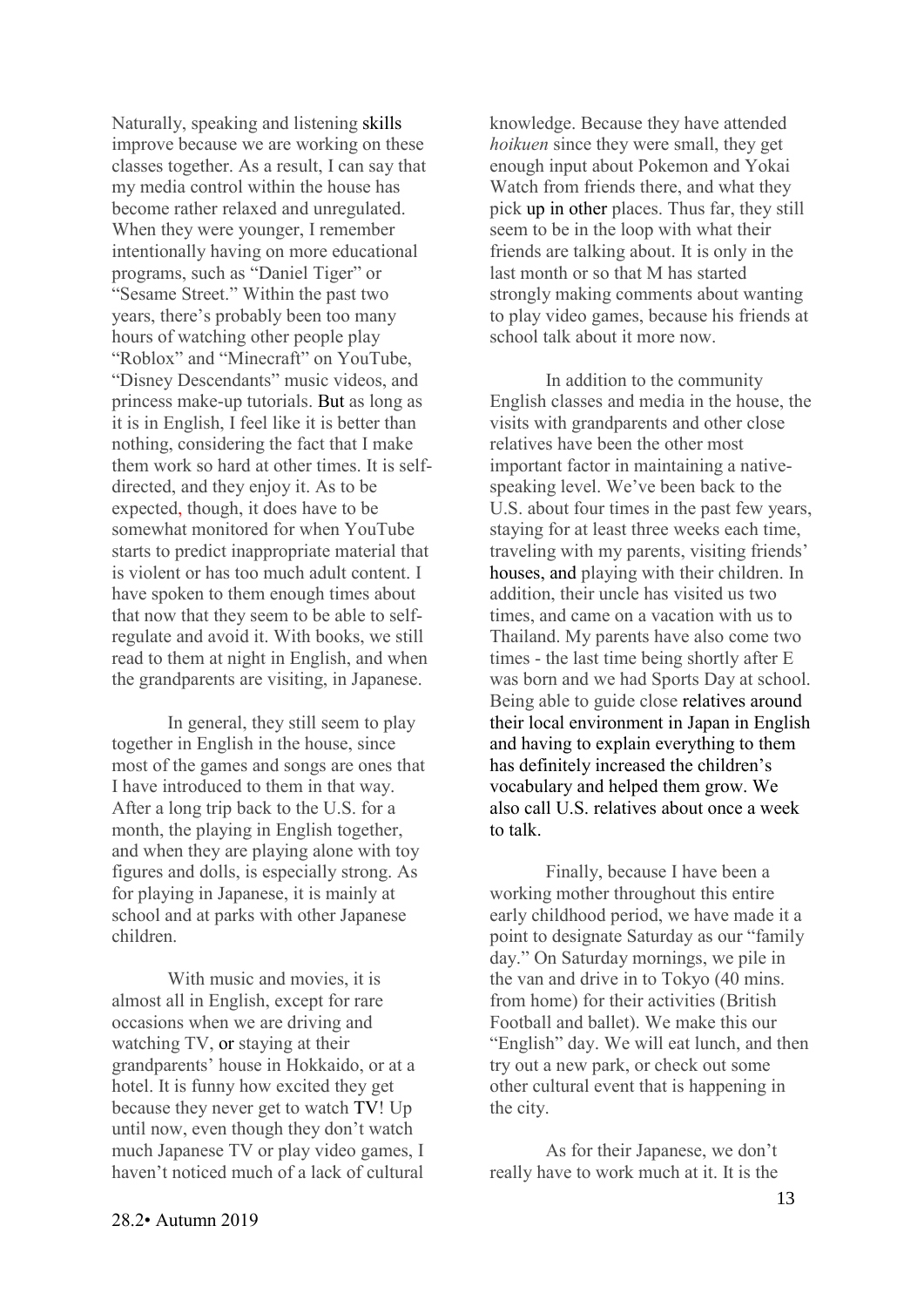Naturally, speaking and listening skills improve because we are working on these classes together. As a result, I can say that my media control within the house has become rather relaxed and unregulated. When they were younger, I remember intentionally having on more educational programs, such as "Daniel Tiger" or "Sesame Street." Within the past two years, there's probably been too many hours of watching other people play "Roblox" and "Minecraft" on YouTube, "Disney Descendants" music videos, and princess make-up tutorials. But as long as it is in English, I feel like it is better than nothing, considering the fact that I make them work so hard at other times. It is selfdirected, and they enjoy it. As to be expected, though, it does have to be somewhat monitored for when YouTube starts to predict inappropriate material that is violent or has too much adult content. I have spoken to them enough times about that now that they seem to be able to selfregulate and avoid it. With books, we still read to them at night in English, and when the grandparents are visiting, in Japanese.

In general, they still seem to play together in English in the house, since most of the games and songs are ones that I have introduced to them in that way. After a long trip back to the U.S. for a month, the playing in English together, and when they are playing alone with toy figures and dolls, is especially strong. As for playing in Japanese, it is mainly at school and at parks with other Japanese children.

With music and movies, it is almost all in English, except for rare occasions when we are driving and watching TV, or staying at their grandparents' house in Hokkaido, or at a hotel. It is funny how excited they get because they never get to watch TV! Up until now, even though they don't watch much Japanese TV or play video games, I haven't noticed much of a lack of cultural knowledge. Because they have attended *hoikuen* since they were small, they get enough input about Pokemon and Yokai Watch from friends there, and what they pick up in other places. Thus far, they still seem to be in the loop with what their friends are talking about. It is only in the last month or so that M has started strongly making comments about wanting to play video games, because his friends at school talk about it more now.

In addition to the community English classes and media in the house, the visits with grandparents and other close relatives have been the other most important factor in maintaining a nativespeaking level. We've been back to the U.S. about four times in the past few years, staying for at least three weeks each time, traveling with my parents, visiting friends' houses, and playing with their children. In addition, their uncle has visited us two times, and came on a vacation with us to Thailand. My parents have also come two times - the last time being shortly after E was born and we had Sports Day at school. Being able to guide close relatives around their local environment in Japan in English and having to explain everything to them has definitely increased the children's vocabulary and helped them grow. We also call U.S. relatives about once a week to talk.

Finally, because I have been a working mother throughout this entire early childhood period, we have made it a point to designate Saturday as our "family day." On Saturday mornings, we pile in the van and drive in to Tokyo (40 mins. from home) for their activities (British Football and ballet). We make this our "English" day. We will eat lunch, and then try out a new park, or check out some other cultural event that is happening in the city.

As for their Japanese, we don't really have to work much at it. It is the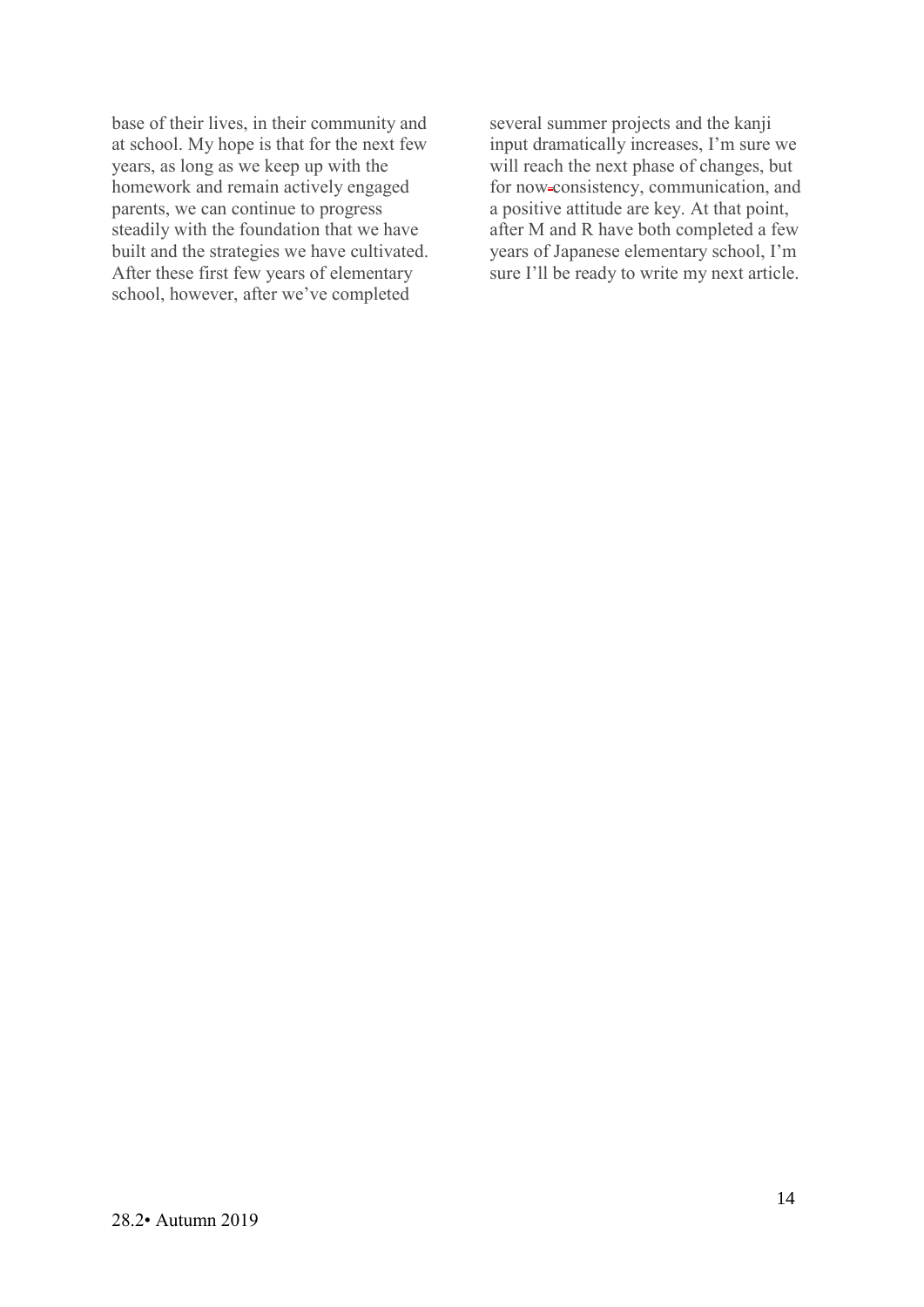base of their lives, in their community and at school. My hope is that for the next few years, as long as we keep up with the homework and remain actively engaged parents, we can continue to progress steadily with the foundation that we have built and the strategies we have cultivated. After these first few years of elementary school, however, after we've completed

several summer projects and the kanji input dramatically increases, I'm sure we will reach the next phase of changes, but for now-consistency, communication, and a positive attitude are key. At that point, after M and R have both completed a few years of Japanese elementary school, I'm sure I'll be ready to write my next article.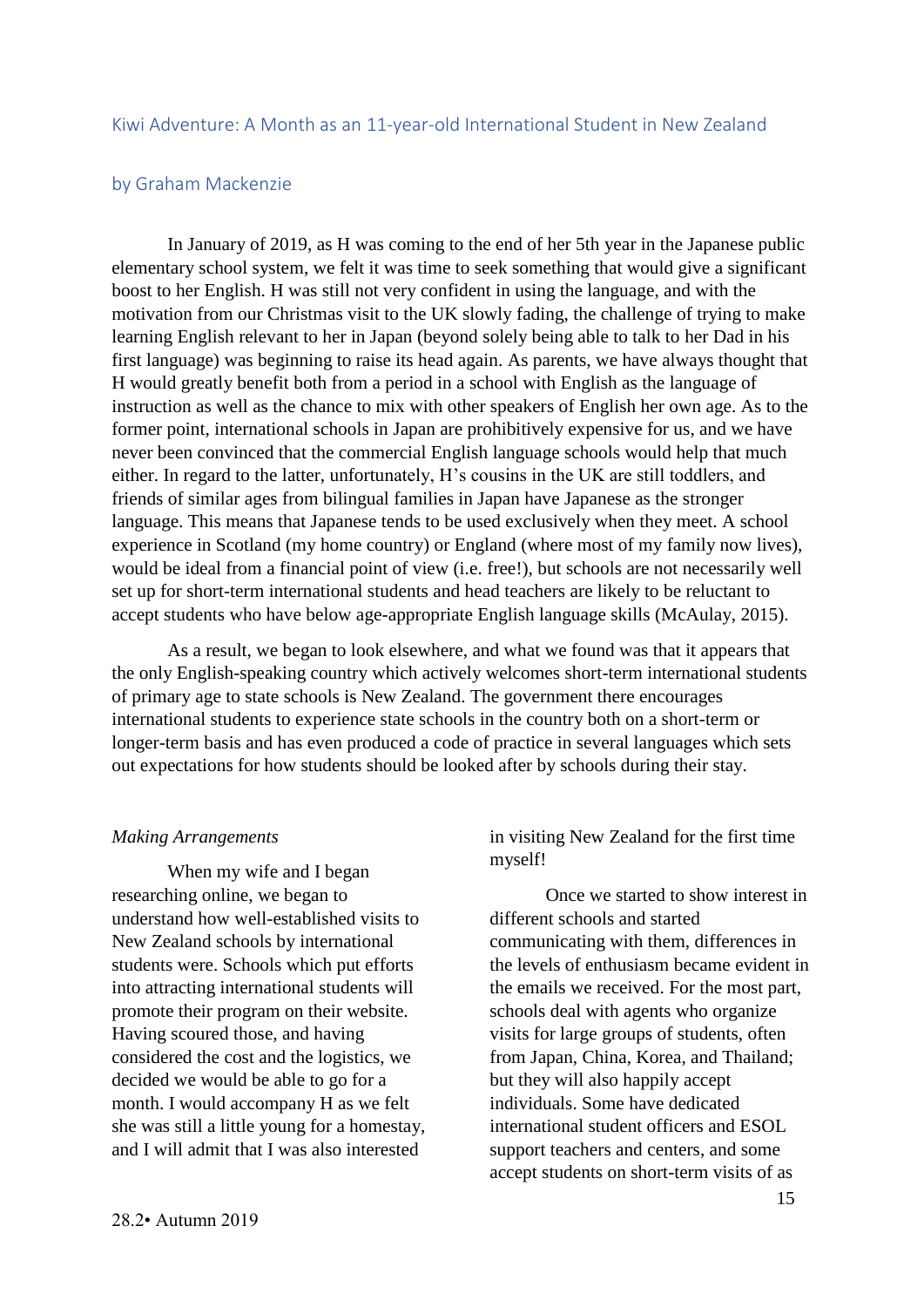#### <span id="page-14-0"></span>Kiwi Adventure: A Month as an 11-year-old International Student in New Zealand

#### <span id="page-14-1"></span>by Graham Mackenzie

In January of 2019, as H was coming to the end of her 5th year in the Japanese public elementary school system, we felt it was time to seek something that would give a significant boost to her English. H was still not very confident in using the language, and with the motivation from our Christmas visit to the UK slowly fading, the challenge of trying to make learning English relevant to her in Japan (beyond solely being able to talk to her Dad in his first language) was beginning to raise its head again. As parents, we have always thought that H would greatly benefit both from a period in a school with English as the language of instruction as well as the chance to mix with other speakers of English her own age. As to the former point, international schools in Japan are prohibitively expensive for us, and we have never been convinced that the commercial English language schools would help that much either. In regard to the latter, unfortunately, H's cousins in the UK are still toddlers, and friends of similar ages from bilingual families in Japan have Japanese as the stronger language. This means that Japanese tends to be used exclusively when they meet. A school experience in Scotland (my home country) or England (where most of my family now lives), would be ideal from a financial point of view (i.e. free!), but schools are not necessarily well set up for short-term international students and head teachers are likely to be reluctant to accept students who have below age-appropriate English language skills (McAulay, 2015).

As a result, we began to look elsewhere, and what we found was that it appears that the only English-speaking country which actively welcomes short-term international students of primary age to state schools is New Zealand. The government there encourages international students to experience state schools in the country both on a short-term or longer-term basis and has even produced a code of practice in several languages which sets out expectations for how students should be looked after by schools during their stay.

#### *Making Arrangements*

When my wife and I began researching online, we began to understand how well-established visits to New Zealand schools by international students were. Schools which put efforts into attracting international students will promote their program on their website. Having scoured those, and having considered the cost and the logistics, we decided we would be able to go for a month. I would accompany H as we felt she was still a little young for a homestay, and I will admit that I was also interested

in visiting New Zealand for the first time myself!

Once we started to show interest in different schools and started communicating with them, differences in the levels of enthusiasm became evident in the emails we received. For the most part, schools deal with agents who organize visits for large groups of students, often from Japan, China, Korea, and Thailand; but they will also happily accept individuals. Some have dedicated international student officers and ESOL support teachers and centers, and some accept students on short-term visits of as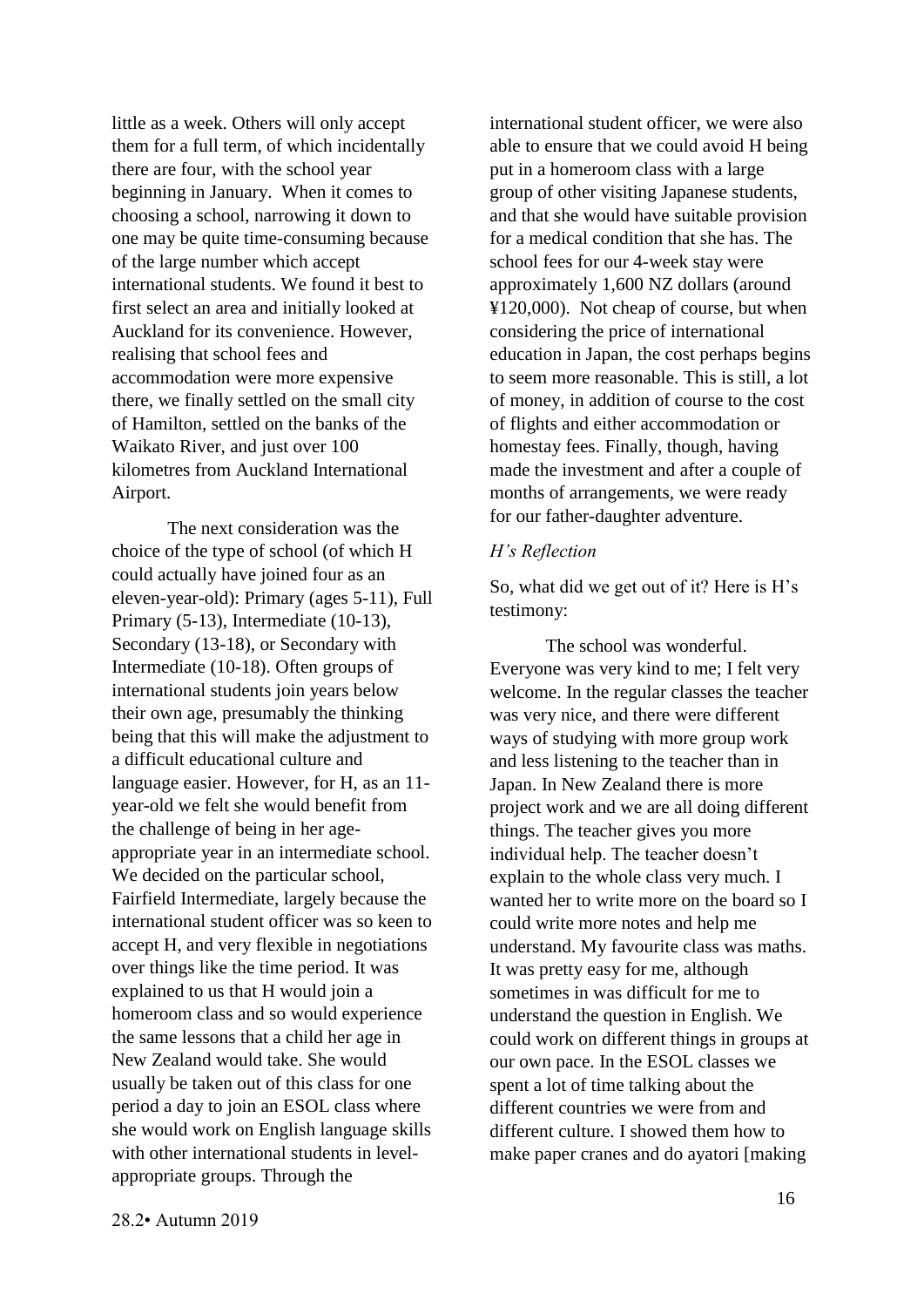little as a week. Others will only accept them for a full term, of which incidentally there are four, with the school year beginning in January. When it comes to choosing a school, narrowing it down to one may be quite time-consuming because of the large number which accept international students. We found it best to first select an area and initially looked at Auckland for its convenience. However, realising that school fees and accommodation were more expensive there, we finally settled on the small city of Hamilton, settled on the banks of the Waikato River, and just over 100 kilometres from Auckland International Airport.

The next consideration was the choice of the type of school (of which H could actually have joined four as an eleven-year-old): Primary (ages 5-11), Full Primary (5-13), Intermediate (10-13), Secondary (13-18), or Secondary with Intermediate (10-18). Often groups of international students join years below their own age, presumably the thinking being that this will make the adjustment to a difficult educational culture and language easier. However, for H, as an 11 year-old we felt she would benefit from the challenge of being in her ageappropriate year in an intermediate school. We decided on the particular school, Fairfield Intermediate, largely because the international student officer was so keen to accept H, and very flexible in negotiations over things like the time period. It was explained to us that H would join a homeroom class and so would experience the same lessons that a child her age in New Zealand would take. She would usually be taken out of this class for one period a day to join an ESOL class where she would work on English language skills with other international students in levelappropriate groups. Through the

international student officer, we were also able to ensure that we could avoid H being put in a homeroom class with a large group of other visiting Japanese students, and that she would have suitable provision for a medical condition that she has. The school fees for our 4-week stay were approximately 1,600 NZ dollars (around ¥120,000). Not cheap of course, but when considering the price of international education in Japan, the cost perhaps begins to seem more reasonable. This is still, a lot of money, in addition of course to the cost of flights and either accommodation or homestay fees. Finally, though, having made the investment and after a couple of months of arrangements, we were ready for our father-daughter adventure.

#### *H's Reflection*

So, what did we get out of it? Here is H's testimony:

The school was wonderful. Everyone was very kind to me; I felt very welcome. In the regular classes the teacher was very nice, and there were different ways of studying with more group work and less listening to the teacher than in Japan. In New Zealand there is more project work and we are all doing different things. The teacher gives you more individual help. The teacher doesn't explain to the whole class very much. I wanted her to write more on the board so I could write more notes and help me understand. My favourite class was maths. It was pretty easy for me, although sometimes in was difficult for me to understand the question in English. We could work on different things in groups at our own pace. In the ESOL classes we spent a lot of time talking about the different countries we were from and different culture. I showed them how to make paper cranes and do ayatori [making